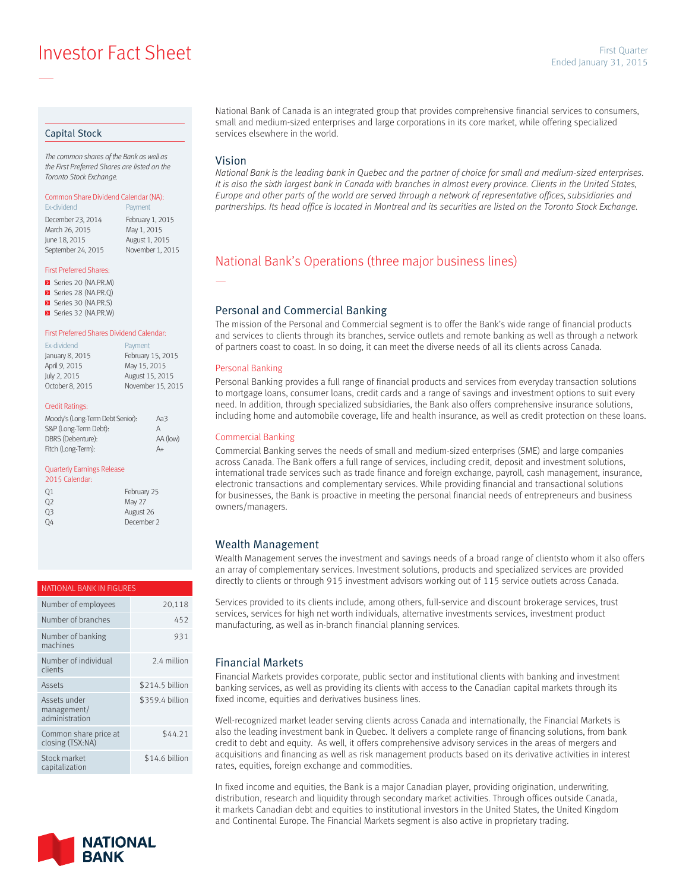**Example 2015** Investor Fact Sheet **Ended January 31, 2015** 

#### Capital Stock

—

*The common shares of the Bank as well as the First Preferred Shares are listed on the Toronto Stock Exchange.*

## Common Share Dividend Calendar (NA):

Ex-dividend **Payment** December 23, 2014 February 1, 2015<br>March 26, 2015 May 1, 2015 March 26, 2015 June 18, 2015 August 1, 2015 September 24, 2015 November 1, 2015

#### First Preferred Shares:

- Series 20 (NA.PR.M)
- Series 28 (NA.PR.Q)
- Series 30 (NA.PR.S) Series 32 (NA.PR.W)

### First Preferred Shares Dividend Calendar:

| Ex-dividend     | Payment           |
|-----------------|-------------------|
| January 8, 2015 | February 15, 2015 |
| April 9, 2015   | May 15, 2015      |
| July 2, 2015    | August 15, 2015   |
| October 8, 2015 | November 15, 2015 |
|                 |                   |

#### Credit Ratings:

| Moody's (Long-Term Debt Senior): | АаЗ      |
|----------------------------------|----------|
| S&P (Long-Term Debt):            | А        |
| DBRS (Debenture):                | AA (low) |
| Fitch (Long-Term):               | A+       |

#### Quarterly Earnings Release

| 2015 Calendar: |             |
|----------------|-------------|
| 01             | February 25 |
| 02             | May 27      |
| 03             | August 26   |
| OΔ             | December 2  |

#### NATIONAL BANK IN FIGURES

| Number of employees                           | 20,118          |
|-----------------------------------------------|-----------------|
| Number of branches                            | 452             |
| Number of banking<br>machines                 | 931             |
| Number of individual<br>clients               | 2.4 million     |
| Assets                                        | \$214.5 billion |
| Assets under<br>management/<br>administration | \$359.4 billion |
| Common share price at<br>closing (TSX:NA)     | \$44.21         |
| Stock market<br>capitalization                | \$14.6 billion  |



National Bank of Canada is an integrated group that provides comprehensive financial services to consumers, small and medium-sized enterprises and large corporations in its core market, while offering specialized services elsewhere in the world.

#### Vision

—

*National Bank is the leading bank in Quebec and the partner of choice for small and medium-sized enterprises.*  It is also the sixth largest bank in Canada with branches in almost every province. Clients in the United States, *Europe and other parts of the world are served through a network of representative offices, subsidiaries and partnerships. Its head office is located in Montreal and its securities are listed on the Toronto Stock Exchange.*

## National Bank's Operations (three major business lines)

#### Personal and Commercial Banking

The mission of the Personal and Commercial segment is to offer the Bank's wide range of financial products and services to clients through its branches, service outlets and remote banking as well as through a network of partners coast to coast. In so doing, it can meet the diverse needs of all its clients across Canada.

#### Personal Banking

Personal Banking provides a full range of financial products and services from everyday transaction solutions to mortgage loans, consumer loans, credit cards and a range of savings and investment options to suit every need. In addition, through specialized subsidiaries, the Bank also offers comprehensive insurance solutions, including home and automobile coverage, life and health insurance, as well as credit protection on these loans.

#### Commercial Banking

Commercial Banking serves the needs of small and medium-sized enterprises (SME) and large companies across Canada. The Bank offers a full range of services, including credit, deposit and investment solutions, international trade services such as trade finance and foreign exchange, payroll, cash management, insurance, electronic transactions and complementary services. While providing financial and transactional solutions for businesses, the Bank is proactive in meeting the personal financial needs of entrepreneurs and business owners/managers.

### Wealth Management

Wealth Management serves the investment and savings needs of a broad range of clientsto whom it also offers an array of complementary services. Investment solutions, products and specialized services are provided directly to clients or through 915 investment advisors working out of 115 service outlets across Canada.

Services provided to its clients include, among others, full-service and discount brokerage services, trust services, services for high net worth individuals, alternative investments services, investment product manufacturing, as well as in-branch financial planning services.

### Financial Markets

Financial Markets provides corporate, public sector and institutional clients with banking and investment banking services, as well as providing its clients with access to the Canadian capital markets through its fixed income, equities and derivatives business lines.

Well-recognized market leader serving clients across Canada and internationally, the Financial Markets is also the leading investment bank in Quebec. It delivers a complete range of financing solutions, from bank credit to debt and equity. As well, it offers comprehensive advisory services in the areas of mergers and acquisitions and financing as well as risk management products based on its derivative activities in interest rates, equities, foreign exchange and commodities.

In fixed income and equities, the Bank is a major Canadian player, providing origination, underwriting, distribution, research and liquidity through secondary market activities. Through offices outside Canada, it markets Canadian debt and equities to institutional investors in the United States, the United Kingdom and Continental Europe. The Financial Markets segment is also active in proprietary trading.